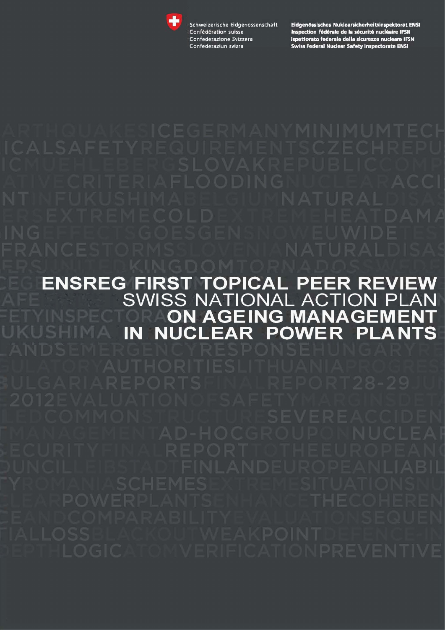

Schweizerische Eidgenossenschaft Confédération suisse Confederazione Svizzera Confederaziun svizra

Eidgenössisches Nuklearsicherheitsinspektorat ENSI Inspection fédérale de la sécurité nucléaire IFSN Ispettorato federale della sicurezza nucleare IFSN **Swiss Federal Nuclear Safety Inspectorate ENSI** 

ENSREG FIRST TOPICAL **PEER REVIEW** 

#### **SWISS NATIONAL ACTION PI AN** ON AGEING MANAGEM Π **NUCLEAR POWER** PI **NTS** UKUSHIMA IN  $\blacksquare$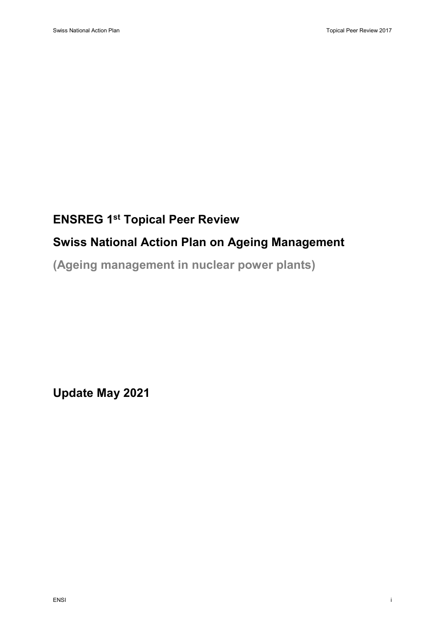# **ENSREG 1st Topical Peer Review**

# **Swiss National Action Plan on Ageing Management**

**(Ageing management in nuclear power plants)**

**Update May 2021**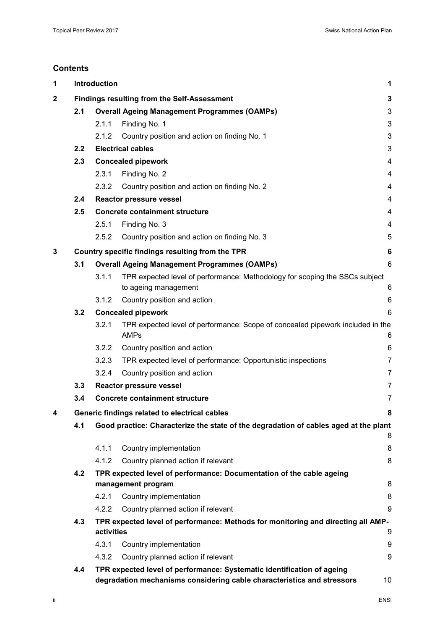#### **Contents**

| 1            |                                                    | <b>Introduction</b>                                                              |                                                                                                                                                  |                 |  |  |
|--------------|----------------------------------------------------|----------------------------------------------------------------------------------|--------------------------------------------------------------------------------------------------------------------------------------------------|-----------------|--|--|
| $\mathbf{2}$ | <b>Findings resulting from the Self-Assessment</b> |                                                                                  |                                                                                                                                                  |                 |  |  |
|              | 2.1                                                | <b>Overall Ageing Management Programmes (OAMPs)</b>                              |                                                                                                                                                  |                 |  |  |
|              |                                                    | 2.1.1                                                                            | Finding No. 1                                                                                                                                    | 3               |  |  |
|              |                                                    | 2.1.2                                                                            | Country position and action on finding No. 1                                                                                                     | $\mathbf{3}$    |  |  |
|              | 2.2                                                | <b>Electrical cables</b>                                                         |                                                                                                                                                  |                 |  |  |
|              | 2.3                                                | <b>Concealed pipework</b>                                                        |                                                                                                                                                  |                 |  |  |
|              |                                                    | 2.3.1                                                                            | Finding No. 2                                                                                                                                    | $\overline{4}$  |  |  |
|              |                                                    | 2.3.2                                                                            | Country position and action on finding No. 2                                                                                                     | $\overline{4}$  |  |  |
|              | 2.4                                                | Reactor pressure vessel                                                          |                                                                                                                                                  |                 |  |  |
|              | 2.5                                                | <b>Concrete containment structure</b>                                            |                                                                                                                                                  |                 |  |  |
|              |                                                    | 2.5.1                                                                            | Finding No. 3                                                                                                                                    | 4               |  |  |
|              |                                                    | 2.5.2                                                                            | Country position and action on finding No. 3                                                                                                     | 5               |  |  |
| 3            |                                                    |                                                                                  | Country specific findings resulting from the TPR                                                                                                 | $6\phantom{1}6$ |  |  |
|              | 3.1                                                | <b>Overall Ageing Management Programmes (OAMPs)</b>                              |                                                                                                                                                  | 6               |  |  |
|              |                                                    | 3.1.1                                                                            | TPR expected level of performance: Methodology for scoping the SSCs subject<br>to ageing management                                              | 6               |  |  |
|              |                                                    | 3.1.2                                                                            | Country position and action                                                                                                                      | 6               |  |  |
|              | 3.2                                                |                                                                                  | <b>Concealed pipework</b>                                                                                                                        | $6\phantom{1}6$ |  |  |
|              |                                                    | 3.2.1                                                                            | TPR expected level of performance: Scope of concealed pipework included in the<br><b>AMPs</b>                                                    | 6               |  |  |
|              |                                                    | 3.2.2                                                                            | Country position and action                                                                                                                      | 6               |  |  |
|              |                                                    | 3.2.3                                                                            | TPR expected level of performance: Opportunistic inspections                                                                                     | $\overline{7}$  |  |  |
|              |                                                    | 3.2.4                                                                            | Country position and action                                                                                                                      | $\overline{7}$  |  |  |
|              | 3.3                                                | <b>Reactor pressure vessel</b>                                                   |                                                                                                                                                  |                 |  |  |
|              | 3.4                                                | <b>Concrete containment structure</b>                                            |                                                                                                                                                  |                 |  |  |
| 4            |                                                    | Generic findings related to electrical cables                                    |                                                                                                                                                  |                 |  |  |
|              | 4.1                                                |                                                                                  | Good practice: Characterize the state of the degradation of cables aged at the plant                                                             | 8               |  |  |
|              |                                                    | 4.1.1                                                                            | Country implementation                                                                                                                           | 8               |  |  |
|              |                                                    | 4.1.2                                                                            | Country planned action if relevant                                                                                                               | 8               |  |  |
|              | 4.2                                                |                                                                                  | TPR expected level of performance: Documentation of the cable ageing                                                                             |                 |  |  |
|              |                                                    | 8<br>management program                                                          |                                                                                                                                                  |                 |  |  |
|              |                                                    | 4.2.1                                                                            | Country implementation                                                                                                                           | 8               |  |  |
|              |                                                    | 4.2.2                                                                            | Country planned action if relevant                                                                                                               | 9               |  |  |
|              | 4.3                                                | TPR expected level of performance: Methods for monitoring and directing all AMP- |                                                                                                                                                  |                 |  |  |
|              |                                                    | activities                                                                       |                                                                                                                                                  | 9               |  |  |
|              |                                                    | 4.3.1                                                                            | Country implementation                                                                                                                           | 9               |  |  |
|              |                                                    | 4.3.2                                                                            | Country planned action if relevant                                                                                                               | 9               |  |  |
|              | 4.4                                                |                                                                                  | TPR expected level of performance: Systematic identification of ageing<br>degradation mechanisms considering cable characteristics and stressors | 10              |  |  |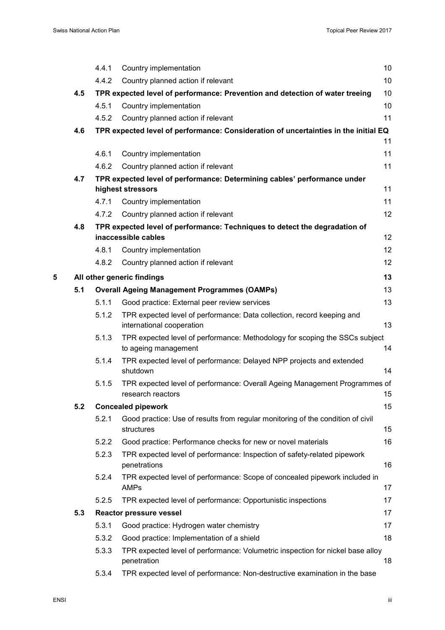|   |     | 4.4.1                                                                                               | Country implementation                                                                              | 10 |  |  |
|---|-----|-----------------------------------------------------------------------------------------------------|-----------------------------------------------------------------------------------------------------|----|--|--|
|   |     | 4.4.2                                                                                               | Country planned action if relevant                                                                  | 10 |  |  |
|   | 4.5 |                                                                                                     | TPR expected level of performance: Prevention and detection of water treeing                        | 10 |  |  |
|   |     | 4.5.1                                                                                               | Country implementation                                                                              | 10 |  |  |
|   |     | 4.5.2                                                                                               | Country planned action if relevant                                                                  | 11 |  |  |
|   | 4.6 |                                                                                                     | TPR expected level of performance: Consideration of uncertainties in the initial EQ                 |    |  |  |
|   |     |                                                                                                     |                                                                                                     | 11 |  |  |
|   |     | 4.6.1                                                                                               | Country implementation                                                                              | 11 |  |  |
|   |     | 4.6.2                                                                                               | Country planned action if relevant                                                                  | 11 |  |  |
|   | 4.7 | TPR expected level of performance: Determining cables' performance under<br>11<br>highest stressors |                                                                                                     |    |  |  |
|   |     | 4.7.1                                                                                               | Country implementation                                                                              | 11 |  |  |
|   |     | 4.7.2                                                                                               | Country planned action if relevant                                                                  | 12 |  |  |
|   | 4.8 |                                                                                                     | TPR expected level of performance: Techniques to detect the degradation of                          |    |  |  |
|   |     |                                                                                                     | inaccessible cables<br>12                                                                           |    |  |  |
|   |     | 4.8.1                                                                                               | Country implementation                                                                              | 12 |  |  |
|   |     | 4.8.2                                                                                               | Country planned action if relevant                                                                  | 12 |  |  |
| 5 |     |                                                                                                     | All other generic findings                                                                          | 13 |  |  |
|   | 5.1 |                                                                                                     | <b>Overall Ageing Management Programmes (OAMPs)</b>                                                 | 13 |  |  |
|   |     | 5.1.1                                                                                               | Good practice: External peer review services                                                        | 13 |  |  |
|   |     | 5.1.2                                                                                               | TPR expected level of performance: Data collection, record keeping and<br>international cooperation | 13 |  |  |
|   |     | 5.1.3                                                                                               | TPR expected level of performance: Methodology for scoping the SSCs subject<br>to ageing management | 14 |  |  |
|   |     | 5.1.4                                                                                               | TPR expected level of performance: Delayed NPP projects and extended<br>shutdown                    | 14 |  |  |
|   |     | 5.1.5                                                                                               | TPR expected level of performance: Overall Ageing Management Programmes of                          |    |  |  |
|   |     |                                                                                                     | research reactors                                                                                   | 15 |  |  |
|   | 5.2 |                                                                                                     | <b>Concealed pipework</b>                                                                           | 15 |  |  |
|   |     | 5.2.1                                                                                               | Good practice: Use of results from regular monitoring of the condition of civil                     |    |  |  |
|   |     |                                                                                                     | structures                                                                                          | 15 |  |  |
|   |     | 5.2.2                                                                                               | Good practice: Performance checks for new or novel materials                                        | 16 |  |  |
|   |     | 5.2.3                                                                                               | TPR expected level of performance: Inspection of safety-related pipework<br>penetrations            | 16 |  |  |
|   |     | 5.2.4                                                                                               | TPR expected level of performance: Scope of concealed pipework included in<br>AMPs                  | 17 |  |  |
|   |     | 5.2.5                                                                                               | TPR expected level of performance: Opportunistic inspections                                        | 17 |  |  |
|   | 5.3 |                                                                                                     | <b>Reactor pressure vessel</b>                                                                      | 17 |  |  |
|   |     | 5.3.1                                                                                               | Good practice: Hydrogen water chemistry                                                             | 17 |  |  |
|   |     | 5.3.2                                                                                               | Good practice: Implementation of a shield                                                           | 18 |  |  |
|   |     | 5.3.3                                                                                               | TPR expected level of performance: Volumetric inspection for nickel base alloy<br>penetration       | 18 |  |  |
|   |     | 5.3.4                                                                                               | TPR expected level of performance: Non-destructive examination in the base                          |    |  |  |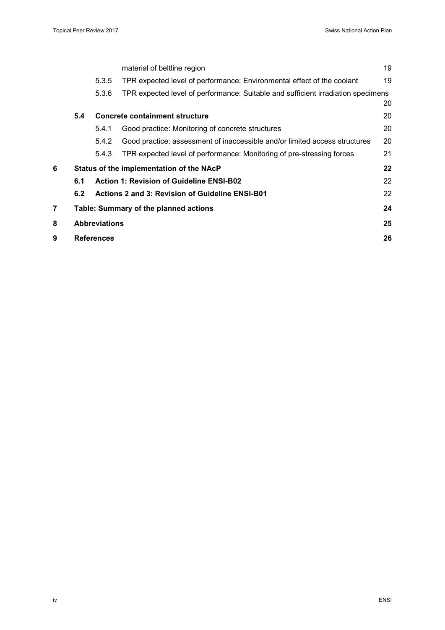|   |                                                               |                                | material of beltline region                                                      | 19 |
|---|---------------------------------------------------------------|--------------------------------|----------------------------------------------------------------------------------|----|
|   |                                                               | 5.3.5                          | TPR expected level of performance: Environmental effect of the coolant           | 19 |
|   |                                                               | 5.3.6                          | TPR expected level of performance: Suitable and sufficient irradiation specimens |    |
|   |                                                               |                                |                                                                                  | 20 |
|   | 5.4                                                           | Concrete containment structure |                                                                                  | 20 |
|   |                                                               | 5.4.1                          | Good practice: Monitoring of concrete structures                                 | 20 |
|   |                                                               | 5.4.2                          | Good practice: assessment of inaccessible and/or limited access structures       | 20 |
|   |                                                               | 5.4.3                          | TPR expected level of performance: Monitoring of pre-stressing forces            | 21 |
| 6 |                                                               |                                | Status of the implementation of the NAcP                                         | 22 |
|   | 6.1                                                           |                                | <b>Action 1: Revision of Guideline ENSI-B02</b>                                  | 22 |
|   | <b>Actions 2 and 3: Revision of Guideline ENSI-B01</b><br>6.2 |                                |                                                                                  |    |
| 7 |                                                               |                                | Table: Summary of the planned actions                                            | 24 |
| 8 | <b>Abbreviations</b>                                          |                                |                                                                                  |    |
| 9 | <b>References</b>                                             |                                |                                                                                  |    |
|   |                                                               |                                |                                                                                  |    |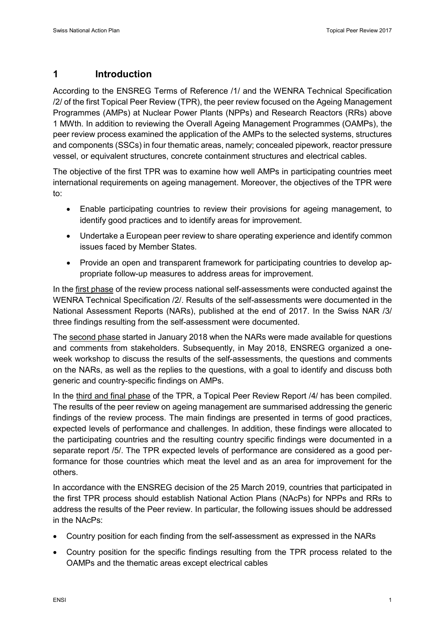### <span id="page-6-0"></span>**1 Introduction**

According to the ENSREG Terms of Reference [/1/](#page-31-0) and the WENRA Technical Specification [/2/](#page-31-1) of the first Topical Peer Review (TPR), the peer review focused on the Ageing Management Programmes (AMPs) at Nuclear Power Plants (NPPs) and Research Reactors (RRs) above 1 MWth. In addition to reviewing the Overall Ageing Management Programmes (OAMPs), the peer review process examined the application of the AMPs to the selected systems, structures and components (SSCs) in four thematic areas, namely; concealed pipework, reactor pressure vessel, or equivalent structures, concrete containment structures and electrical cables.

The objective of the first TPR was to examine how well AMPs in participating countries meet international requirements on ageing management. Moreover, the objectives of the TPR were to:

- Enable participating countries to review their provisions for ageing management, to identify good practices and to identify areas for improvement.
- Undertake a European peer review to share operating experience and identify common issues faced by Member States.
- Provide an open and transparent framework for participating countries to develop appropriate follow-up measures to address areas for improvement.

In the first phase of the review process national self-assessments were conducted against the WENRA Technical Specification [/2/.](#page-31-1) Results of the self-assessments were documented in the National Assessment Reports (NARs), published at the end of 2017. In the Swiss NAR [/3/](#page-31-2) three findings resulting from the self-assessment were documented.

The second phase started in January 2018 when the NARs were made available for questions and comments from stakeholders. Subsequently, in May 2018, ENSREG organized a oneweek workshop to discuss the results of the self-assessments, the questions and comments on the NARs, as well as the replies to the questions, with a goal to identify and discuss both generic and country-specific findings on AMPs.

In the third and final phase of the TPR, a Topical Peer Review Report [/4/](#page-31-3) has been compiled. The results of the peer review on ageing management are summarised addressing the generic findings of the review process. The main findings are presented in terms of good practices, expected levels of performance and challenges. In addition, these findings were allocated to the participating countries and the resulting country specific findings were documented in a separate report [/5/.](#page-31-4) The TPR expected levels of performance are considered as a good performance for those countries which meat the level and as an area for improvement for the others.

In accordance with the ENSREG decision of the 25 March 2019, countries that participated in the first TPR process should establish National Action Plans (NAcPs) for NPPs and RRs to address the results of the Peer review. In particular, the following issues should be addressed in the NAcPs:

- Country position for each finding from the self-assessment as expressed in the NARs
- Country position for the specific findings resulting from the TPR process related to the OAMPs and the thematic areas except electrical cables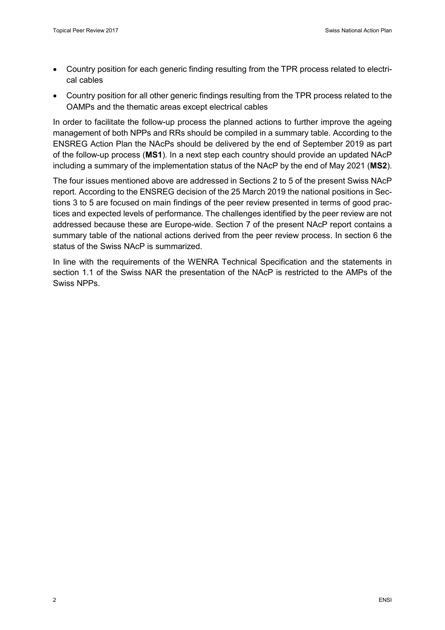- Country position for each generic finding resulting from the TPR process related to electrical cables
- Country position for all other generic findings resulting from the TPR process related to the OAMPs and the thematic areas except electrical cables

In order to facilitate the follow-up process the planned actions to further improve the ageing management of both NPPs and RRs should be compiled in a summary table. According to the ENSREG Action Plan the NAcPs should be delivered by the end of September 2019 as part of the follow-up process (**MS1**). In a next step each country should provide an updated NAcP including a summary of the implementation status of the NAcP by the end of May 2021 (**MS2**).

The four issues mentioned above are addressed in Sections 2 to 5 of the present Swiss NAcP report. According to the ENSREG decision of the 25 March 2019 the national positions in Sections 3 to 5 are focused on main findings of the peer review presented in terms of good practices and expected levels of performance. The challenges identified by the peer review are not addressed because these are Europe-wide. Section 7 of the present NAcP report contains a summary table of the national actions derived from the peer review process. In section 6 the status of the Swiss NAcP is summarized.

In line with the requirements of the WENRA Technical Specification and the statements in section 1.1 of the Swiss NAR the presentation of the NAcP is restricted to the AMPs of the Swiss NPPs.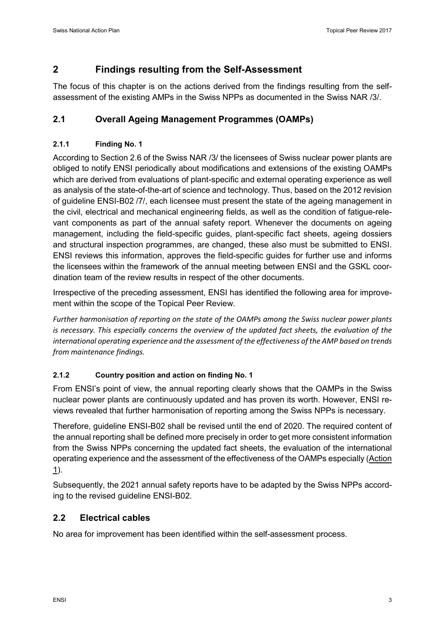### **2 Findings resulting from the Self-Assessment**

The focus of this chapter is on the actions derived from the findings resulting from the selfassessment of the existing AMPs in the Swiss NPPs as documented in the Swiss NAR /3/.

### **2.1 Overall Ageing Management Programmes (OAMPs)**

### **2.1.1 Finding No. 1**

<span id="page-8-0"></span>According to Section 2.6 of the Swiss NAR [/3/](#page-31-2) the licensees of Swiss nuclear power plants are obliged to notify ENSI periodically about modifications and extensions of the existing OAMPs which are derived from evaluations of plant-specific and external operating experience as well as analysis of the state-of-the-art of science and technology. Thus, based on the 2012 revision of guideline ENSI-B02 [/7/,](#page-31-5) each licensee must present the state of the ageing management in the civil, electrical and mechanical engineering fields, as well as the condition of fatigue-relevant components as part of the annual safety report. Whenever the documents on ageing management, including the field-specific guides, plant-specific fact sheets, ageing dossiers and structural inspection programmes, are changed, these also must be submitted to ENSI. ENSI reviews this information, approves the field-specific guides for further use and informs the licensees within the framework of the annual meeting between ENSI and the GSKL coordination team of the review results in respect of the other documents.

Irrespective of the preceding assessment, ENSI has identified the following area for improvement within the scope of the Topical Peer Review.

*Further harmonisation of reporting on the state of the OAMPs among the Swiss nuclear power plants is necessary. This especially concerns the overview of the updated fact sheets, the evaluation of the international operating experience and the assessment of the effectiveness of the AMP based on trends from maintenance findings.*

### **2.1.2 Country position and action on finding No. 1**

From ENSI's point of view, the annual reporting clearly shows that the OAMPs in the Swiss nuclear power plants are continuously updated and has proven its worth. However, ENSI reviews revealed that further harmonisation of reporting among the Swiss NPPs is necessary.

Therefore, guideline ENSI-B02 shall be revised until the end of 2020. The required content of the annual reporting shall be defined more precisely in order to get more consistent information from the Swiss NPPs concerning the updated fact sheets, the evaluation of the international operating experience and the assessment of the effectiveness of the OAMPs especially (Action 1).

Subsequently, the 2021 annual safety reports have to be adapted by the Swiss NPPs according to the revised guideline ENSI-B02.

## **2.2 Electrical cables**

No area for improvement has been identified within the self-assessment process.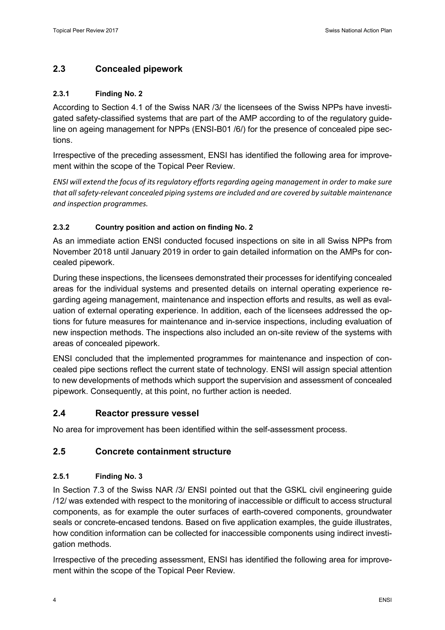### **2.3 Concealed pipework**

### **2.3.1 Finding No. 2**

According to Section 4.1 of the Swiss NAR /3/ the licensees of the Swiss NPPs have investigated safety-classified systems that are part of the AMP according to of the regulatory guideline on ageing management for NPPs (ENSI-B01 [/6/\)](#page-31-6) for the presence of concealed pipe sections.

Irrespective of the preceding assessment, ENSI has identified the following area for improvement within the scope of the Topical Peer Review.

*ENSI will extend the focus of its regulatory efforts regarding ageing management in order to make sure that all safety-relevant concealed piping systems are included and are covered by suitable maintenance and inspection programmes.*

### **2.3.2 Country position and action on finding No. 2**

As an immediate action ENSI conducted focused inspections on site in all Swiss NPPs from November 2018 until January 2019 in order to gain detailed information on the AMPs for concealed pipework.

During these inspections, the licensees demonstrated their processes for identifying concealed areas for the individual systems and presented details on internal operating experience regarding ageing management, maintenance and inspection efforts and results, as well as evaluation of external operating experience. In addition, each of the licensees addressed the options for future measures for maintenance and in-service inspections, including evaluation of new inspection methods. The inspections also included an on-site review of the systems with areas of concealed pipework.

ENSI concluded that the implemented programmes for maintenance and inspection of concealed pipe sections reflect the current state of technology. ENSI will assign special attention to new developments of methods which support the supervision and assessment of concealed pipework. Consequently, at this point, no further action is needed.

### **2.4 Reactor pressure vessel**

No area for improvement has been identified within the self-assessment process.

### **2.5 Concrete containment structure**

### **2.5.1 Finding No. 3**

In Section 7.3 of the Swiss NAR /3/ ENSI pointed out that the GSKL civil engineering guide [/12/](#page-31-7) was extended with respect to the monitoring of inaccessible or difficult to access structural components, as for example the outer surfaces of earth-covered components, groundwater seals or concrete-encased tendons. Based on five application examples, the guide illustrates, how condition information can be collected for inaccessible components using indirect investigation methods.

Irrespective of the preceding assessment, ENSI has identified the following area for improvement within the scope of the Topical Peer Review.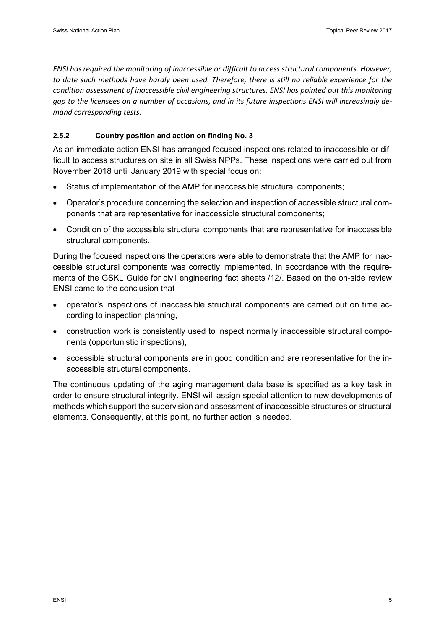*ENSI has required the monitoring of inaccessible or difficult to access structural components. However, to date such methods have hardly been used. Therefore, there is still no reliable experience for the condition assessment of inaccessible civil engineering structures. ENSI has pointed out this monitoring gap to the licensees on a number of occasions, and in its future inspections ENSI will increasingly demand corresponding tests.*

#### <span id="page-10-0"></span>**2.5.2 Country position and action on finding No. 3**

As an immediate action ENSI has arranged focused inspections related to inaccessible or difficult to access structures on site in all Swiss NPPs. These inspections were carried out from November 2018 until January 2019 with special focus on:

- Status of implementation of the AMP for inaccessible structural components;
- Operator's procedure concerning the selection and inspection of accessible structural components that are representative for inaccessible structural components;
- Condition of the accessible structural components that are representative for inaccessible structural components.

During the focused inspections the operators were able to demonstrate that the AMP for inaccessible structural components was correctly implemented, in accordance with the requirements of the GSKL Guide for civil engineering fact sheets [/12/.](#page-31-7) Based on the on-side review ENSI came to the conclusion that

- operator's inspections of inaccessible structural components are carried out on time according to inspection planning,
- construction work is consistently used to inspect normally inaccessible structural components (opportunistic inspections),
- accessible structural components are in good condition and are representative for the inaccessible structural components.

The continuous updating of the aging management data base is specified as a key task in order to ensure structural integrity. ENSI will assign special attention to new developments of methods which support the supervision and assessment of inaccessible structures or structural elements. Consequently, at this point, no further action is needed.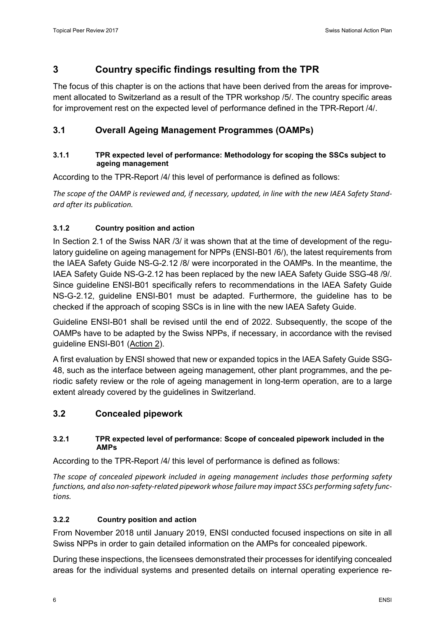## <span id="page-11-2"></span>**3 Country specific findings resulting from the TPR**

The focus of this chapter is on the actions that have been derived from the areas for improvement allocated to Switzerland as a result of the TPR workshop [/5/.](#page-31-4) The country specific areas for improvement rest on the expected level of performance defined in the TPR-Report [/4/.](#page-31-3)

### **3.1 Overall Ageing Management Programmes (OAMPs)**

#### **3.1.1 TPR expected level of performance: Methodology for scoping the SSCs subject to ageing management**

According to the TPR-Report [/4/](#page-31-3) this level of performance is defined as follows:

*The scope of the OAMP is reviewed and, if necessary, updated, in line with the new IAEA Safety Standard after its publication.*

### <span id="page-11-0"></span>**3.1.2 Country position and action**

In Section 2.1 of the Swiss NAR [/3/](#page-31-2) it was shown that at the time of development of the regulatory guideline on ageing management for NPPs (ENSI-B01 [/6/\)](#page-31-6), the latest requirements from the IAEA Safety Guide NS-G-2.12 [/8/](#page-31-8) were incorporated in the OAMPs. In the meantime, the IAEA Safety Guide NS-G-2.12 has been replaced by the new IAEA Safety Guide SSG-48 [/9/.](#page-31-9) Since guideline ENSI-B01 specifically refers to recommendations in the IAEA Safety Guide NS-G-2.12, guideline ENSI-B01 must be adapted. Furthermore, the guideline has to be checked if the approach of scoping SSCs is in line with the new IAEA Safety Guide.

<span id="page-11-3"></span>Guideline ENSI-B01 shall be revised until the end of 2022. Subsequently, the scope of the OAMPs have to be adapted by the Swiss NPPs, if necessary, in accordance with the revised guideline ENSI-B01 (Action 2).

A first evaluation by ENSI showed that new or expanded topics in the IAEA Safety Guide SSG-48, such as the interface between ageing management, other plant programmes, and the periodic safety review or the role of ageing management in long-term operation, are to a large extent already covered by the guidelines in Switzerland.

### **3.2 Concealed pipework**

#### **3.2.1 TPR expected level of performance: Scope of concealed pipework included in the AMPs**

According to the TPR-Report /4/ this level of performance is defined as follows:

*The scope of concealed pipework included in ageing management includes those performing safety functions, and also non-safety-related pipework whose failure may impact SSCs performing safety functions.* 

### <span id="page-11-1"></span>**3.2.2 Country position and action**

From November 2018 until January 2019, ENSI conducted focused inspections on site in all Swiss NPPs in order to gain detailed information on the AMPs for concealed pipework.

During these inspections, the licensees demonstrated their processes for identifying concealed areas for the individual systems and presented details on internal operating experience re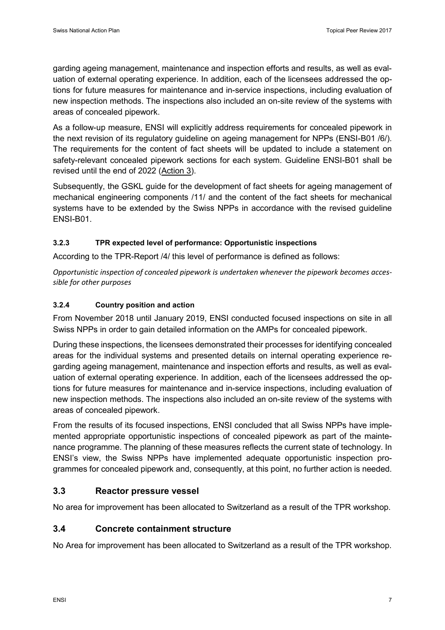garding ageing management, maintenance and inspection efforts and results, as well as evaluation of external operating experience. In addition, each of the licensees addressed the options for future measures for maintenance and in-service inspections, including evaluation of new inspection methods. The inspections also included an on-site review of the systems with areas of concealed pipework.

As a follow-up measure, ENSI will explicitly address requirements for concealed pipework in the next revision of its regulatory guideline on ageing management for NPPs (ENSI-B01 [/6/\)](#page-31-6). The requirements for the content of fact sheets will be updated to include a statement on safety-relevant concealed pipework sections for each system. Guideline ENSI-B01 shall be revised until the end of 2022 (Action 3).

Subsequently, the GSKL guide for the development of fact sheets for ageing management of mechanical engineering components [/11/](#page-31-10) and the content of the fact sheets for mechanical systems have to be extended by the Swiss NPPs in accordance with the revised guideline ENSI-B01.

### **3.2.3 TPR expected level of performance: Opportunistic inspections**

According to the TPR-Report /4/ this level of performance is defined as follows:

*Opportunistic inspection of concealed pipework is undertaken whenever the pipework becomes accessible for other purposes*

### <span id="page-12-0"></span>**3.2.4 Country position and action**

From November 2018 until January 2019, ENSI conducted focused inspections on site in all Swiss NPPs in order to gain detailed information on the AMPs for concealed pipework.

During these inspections, the licensees demonstrated their processes for identifying concealed areas for the individual systems and presented details on internal operating experience regarding ageing management, maintenance and inspection efforts and results, as well as evaluation of external operating experience. In addition, each of the licensees addressed the options for future measures for maintenance and in-service inspections, including evaluation of new inspection methods. The inspections also included an on-site review of the systems with areas of concealed pipework.

From the results of its focused inspections, ENSI concluded that all Swiss NPPs have implemented appropriate opportunistic inspections of concealed pipework as part of the maintenance programme. The planning of these measures reflects the current state of technology. In ENSI's view, the Swiss NPPs have implemented adequate opportunistic inspection programmes for concealed pipework and, consequently, at this point, no further action is needed.

### **3.3 Reactor pressure vessel**

No area for improvement has been allocated to Switzerland as a result of the TPR workshop.

### **3.4 Concrete containment structure**

No Area for improvement has been allocated to Switzerland as a result of the TPR workshop.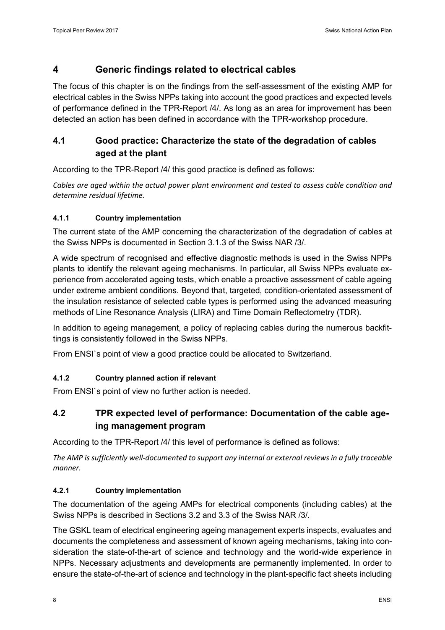### **4 Generic findings related to electrical cables**

The focus of this chapter is on the findings from the self-assessment of the existing AMP for electrical cables in the Swiss NPPs taking into account the good practices and expected levels of performance defined in the TPR-Report /4/. As long as an area for improvement has been detected an action has been defined in accordance with the TPR-workshop procedure.

## **4.1 Good practice: Characterize the state of the degradation of cables aged at the plant**

According to the TPR-Report /4/ this good practice is defined as follows:

*Cables are aged within the actual power plant environment and tested to assess cable condition and determine residual lifetime.*

### **4.1.1 Country implementation**

The current state of the AMP concerning the characterization of the degradation of cables at the Swiss NPPs is documented in Section 3.1.3 of the Swiss NAR [/3/.](#page-31-2)

A wide spectrum of recognised and effective diagnostic methods is used in the Swiss NPPs plants to identify the relevant ageing mechanisms. In particular, all Swiss NPPs evaluate experience from accelerated ageing tests, which enable a proactive assessment of cable ageing under extreme ambient conditions. Beyond that, targeted, condition-orientated assessment of the insulation resistance of selected cable types is performed using the advanced measuring methods of Line Resonance Analysis (LIRA) and Time Domain Reflectometry (TDR).

In addition to ageing management, a policy of replacing cables during the numerous backfittings is consistently followed in the Swiss NPPs.

From ENSI`s point of view a good practice could be allocated to Switzerland.

### **4.1.2 Country planned action if relevant**

From ENSI`s point of view no further action is needed.

### **4.2 TPR expected level of performance: Documentation of the cable ageing management program**

According to the TPR-Report /4/ this level of performance is defined as follows:

*The AMP is sufficiently well-documented to support any internal or external reviews in a fully traceable manner.* 

### **4.2.1 Country implementation**

The documentation of the ageing AMPs for electrical components (including cables) at the Swiss NPPs is described in Sections 3.2 and 3.3 of the Swiss NAR [/3/.](#page-31-2)

The GSKL team of electrical engineering ageing management experts inspects, evaluates and documents the completeness and assessment of known ageing mechanisms, taking into consideration the state-of-the-art of science and technology and the world-wide experience in NPPs. Necessary adjustments and developments are permanently implemented. ln order to ensure the state-of-the-art of science and technology in the plant-specific fact sheets including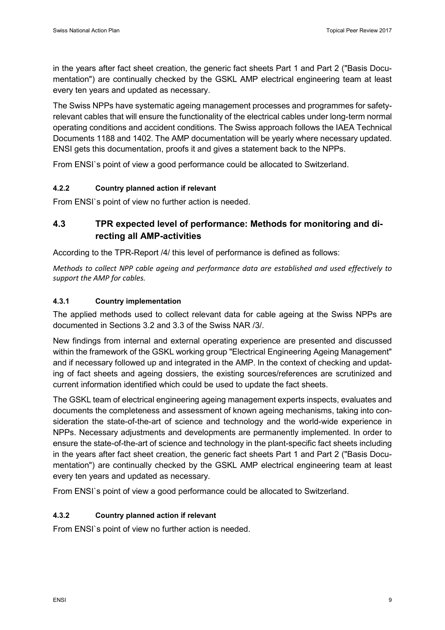in the years after fact sheet creation, the generic fact sheets Part 1 and Part 2 ("Basis Documentation") are continually checked by the GSKL AMP electrical engineering team at least every ten years and updated as necessary.

The Swiss NPPs have systematic ageing management processes and programmes for safetyrelevant cables that will ensure the functionality of the electrical cables under long-term normal operating conditions and accident conditions. The Swiss approach follows the IAEA Technical Documents 1188 and 1402. The AMP documentation will be yearly where necessary updated. ENSI gets this documentation, proofs it and gives a statement back to the NPPs.

From ENSI`s point of view a good performance could be allocated to Switzerland.

#### **4.2.2 Country planned action if relevant**

From ENSI`s point of view no further action is needed.

### **4.3 TPR expected level of performance: Methods for monitoring and directing all AMP-activities**

According to the TPR-Report /4/ this level of performance is defined as follows:

*Methods to collect NPP cable ageing and performance data are established and used effectively to support the AMP for cables.*

#### **4.3.1 Country implementation**

The applied methods used to collect relevant data for cable ageing at the Swiss NPPs are documented in Sections 3.2 and 3.3 of the Swiss NAR [/3/.](#page-31-2)

New findings from internal and external operating experience are presented and discussed within the framework of the GSKL working group "Electrical Engineering Ageing Management" and if necessary followed up and integrated in the AMP. ln the context of checking and updating of fact sheets and ageing dossiers, the existing sources/references are scrutinized and current information identified which could be used to update the fact sheets.

The GSKL team of electrical engineering ageing management experts inspects, evaluates and documents the completeness and assessment of known ageing mechanisms, taking into consideration the state-of-the-art of science and technology and the world-wide experience in NPPs. Necessary adjustments and developments are permanently implemented. ln order to ensure the state-of-the-art of science and technology in the plant-specific fact sheets including in the years after fact sheet creation, the generic fact sheets Part 1 and Part 2 ("Basis Documentation") are continually checked by the GSKL AMP electrical engineering team at least every ten years and updated as necessary.

From ENSI`s point of view a good performance could be allocated to Switzerland.

#### **4.3.2 Country planned action if relevant**

From ENSI`s point of view no further action is needed.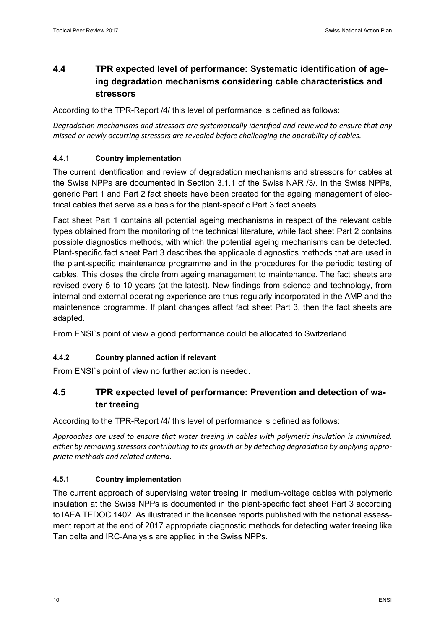## **4.4 TPR expected level of performance: Systematic identification of ageing degradation mechanisms considering cable characteristics and stressors**

According to the TPR-Report /4/ this level of performance is defined as follows:

*Degradation mechanisms and stressors are systematically identified and reviewed to ensure that any missed or newly occurring stressors are revealed before challenging the operability of cables.*

### **4.4.1 Country implementation**

The current identification and review of degradation mechanisms and stressors for cables at the Swiss NPPs are documented in Section 3.1.1 of the Swiss NAR [/3/.](#page-31-2) In the Swiss NPPs, generic Part 1 and Part 2 fact sheets have been created for the ageing management of electrical cables that serve as a basis for the plant-specific Part 3 fact sheets.

Fact sheet Part 1 contains all potential ageing mechanisms in respect of the relevant cable types obtained from the monitoring of the technical literature, while fact sheet Part 2 contains possible diagnostics methods, with which the potential ageing mechanisms can be detected. Plant-specific fact sheet Part 3 describes the applicable diagnostics methods that are used in the plant-specific maintenance programme and in the procedures for the periodic testing of cables. This closes the circle from ageing management to maintenance. The fact sheets are revised every 5 to 10 years (at the latest). New findings from science and technology, from internal and external operating experience are thus regularly incorporated in the AMP and the maintenance programme. If plant changes affect fact sheet Part 3, then the fact sheets are adapted.

From ENSI`s point of view a good performance could be allocated to Switzerland.

### **4.4.2 Country planned action if relevant**

From ENSI`s point of view no further action is needed.

### **4.5 TPR expected level of performance: Prevention and detection of water treeing**

According to the TPR-Report /4/ this level of performance is defined as follows:

*Approaches are used to ensure that water treeing in cables with polymeric insulation is minimised, either by removing stressors contributing to its growth or by detecting degradation by applying appropriate methods and related criteria.*

### **4.5.1 Country implementation**

The current approach of supervising water treeing in medium-voltage cables with polymeric insulation at the Swiss NPPs is documented in the plant-specific fact sheet Part 3 according to IAEA TEDOC 1402. As illustrated in the licensee reports published with the national assessment report at the end of 2017 appropriate diagnostic methods for detecting water treeing like Tan delta and IRC-Analysis are applied in the Swiss NPPs.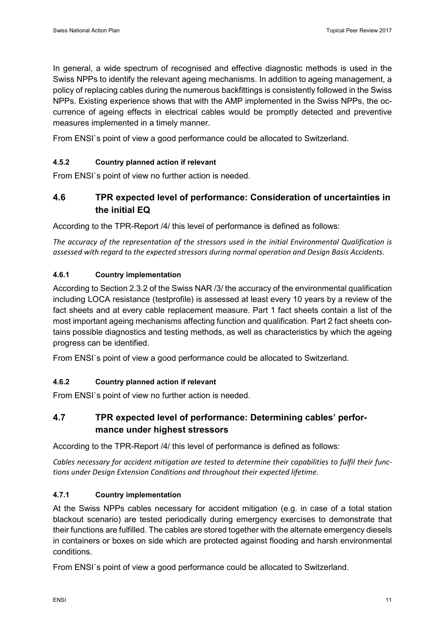In general, a wide spectrum of recognised and effective diagnostic methods is used in the Swiss NPPs to identify the relevant ageing mechanisms. In addition to ageing management, a policy of replacing cables during the numerous backfittings is consistently followed in the Swiss NPPs. Existing experience shows that with the AMP implemented in the Swiss NPPs, the occurrence of ageing effects in electrical cables would be promptly detected and preventive measures implemented in a timely manner.

From ENSI`s point of view a good performance could be allocated to Switzerland.

### **4.5.2 Country planned action if relevant**

From ENSI`s point of view no further action is needed.

### **4.6 TPR expected level of performance: Consideration of uncertainties in the initial EQ**

According to the TPR-Report /4/ this level of performance is defined as follows:

*The accuracy of the representation of the stressors used in the initial Environmental Qualification is assessed with regard to the expected stressors during normal operation and Design Basis Accidents.*

### **4.6.1 Country implementation**

According to Section 2.3.2 of the Swiss NAR [/3/](#page-31-2) the accuracy of the environmental qualification including LOCA resistance (testprofile) is assessed at least every 10 years by a review of the fact sheets and at every cable replacement measure. Part 1 fact sheets contain a list of the most important ageing mechanisms affecting function and qualification. Part 2 fact sheets contains possible diagnostics and testing methods, as well as characteristics by which the ageing progress can be identified.

From ENSI`s point of view a good performance could be allocated to Switzerland.

### **4.6.2 Country planned action if relevant**

From ENSI`s point of view no further action is needed.

## **4.7 TPR expected level of performance: Determining cables' performance under highest stressors**

According to the TPR-Report /4/ this level of performance is defined as follows:

*Cables necessary for accident mitigation are tested to determine their capabilities to fulfil their functions under Design Extension Conditions and throughout their expected lifetime.*

### **4.7.1 Country implementation**

At the Swiss NPPs cables necessary for accident mitigation (e.g. in case of a total station blackout scenario) are tested periodically during emergency exercises to demonstrate that their functions are fulfilled. The cables are stored together with the alternate emergency diesels in containers or boxes on side which are protected against flooding and harsh environmental conditions.

From ENSI`s point of view a good performance could be allocated to Switzerland.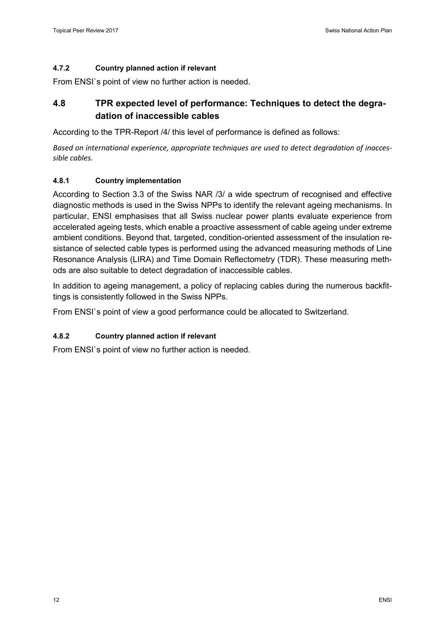#### **4.7.2 Country planned action if relevant**

From ENSI`s point of view no further action is needed.

### **4.8 TPR expected level of performance: Techniques to detect the degradation of inaccessible cables**

According to the TPR-Report /4/ this level of performance is defined as follows:

*Based on international experience, appropriate techniques are used to detect degradation of inaccessible cables.* 

### **4.8.1 Country implementation**

According to Section 3.3 of the Swiss NAR [/3/](#page-31-2) a wide spectrum of recognised and effective diagnostic methods is used in the Swiss NPPs to identify the relevant ageing mechanisms. In particular, ENSI emphasises that all Swiss nuclear power plants evaluate experience from accelerated ageing tests, which enable a proactive assessment of cable ageing under extreme ambient conditions. Beyond that, targeted, condition-oriented assessment of the insulation resistance of selected cable types is performed using the advanced measuring methods of Line Resonance Analysis (LIRA) and Time Domain Reflectometry (TDR). These measuring methods are also suitable to detect degradation of inaccessible cables.

In addition to ageing management, a policy of replacing cables during the numerous backfittings is consistently followed in the Swiss NPPs.

From ENSI`s point of view a good performance could be allocated to Switzerland.

### **4.8.2 Country planned action if relevant**

From ENSI`s point of view no further action is needed.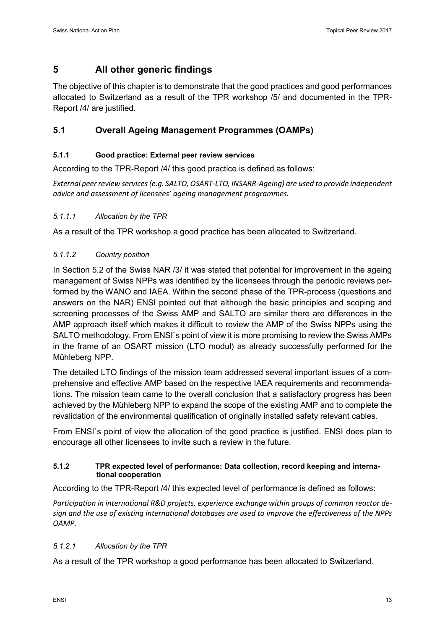### **5 All other generic findings**

The objective of this chapter is to demonstrate that the good practices and good performances allocated to Switzerland as a result of the TPR workshop [/5/](#page-31-4) and documented in the TPR-Report [/4/](#page-31-3) are justified.

### **5.1 Overall Ageing Management Programmes (OAMPs)**

#### **5.1.1 Good practice: External peer review services**

According to the TPR-Report [/4/](#page-31-3) this good practice is defined as follows:

*External peer review services (e.g. SALTO, OSART-LTO, INSARR-Ageing) are used to provide independent advice and assessment of licensees' ageing management programmes.* 

#### *5.1.1.1 Allocation by the TPR*

As a result of the TPR workshop a good practice has been allocated to Switzerland.

#### *5.1.1.2 Country position*

In Section 5.2 of the Swiss NAR /3/ it was stated that potential for improvement in the ageing management of Swiss NPPs was identified by the licensees through the periodic reviews performed by the WANO and IAEA. Within the second phase of the TPR-process (questions and answers on the NAR) ENSI pointed out that although the basic principles and scoping and screening processes of the Swiss AMP and SALTO are similar there are differences in the AMP approach itself which makes it difficult to review the AMP of the Swiss NPPs using the SALTO methodology. From ENSI`s point of view it is more promising to review the Swiss AMPs in the frame of an OSART mission (LTO modul) as already successfully performed for the Mühleberg NPP.

The detailed LTO findings of the mission team addressed several important issues of a comprehensive and effective AMP based on the respective IAEA requirements and recommendations. The mission team came to the overall conclusion that a satisfactory progress has been achieved by the Mühleberg NPP to expand the scope of the existing AMP and to complete the revalidation of the environmental qualification of originally installed safety relevant cables.

From ENSI`s point of view the allocation of the good practice is justified. ENSI does plan to encourage all other licensees to invite such a review in the future.

#### **5.1.2 TPR expected level of performance: Data collection, record keeping and international cooperation**

According to the TPR-Report [/4/](#page-31-3) this expected level of performance is defined as follows:

*Participation in international R&D projects, experience exchange within groups of common reactor design and the use of existing international databases are used to improve the effectiveness of the NPPs OAMP.*

#### *5.1.2.1 Allocation by the TPR*

As a result of the TPR workshop a good performance has been allocated to Switzerland.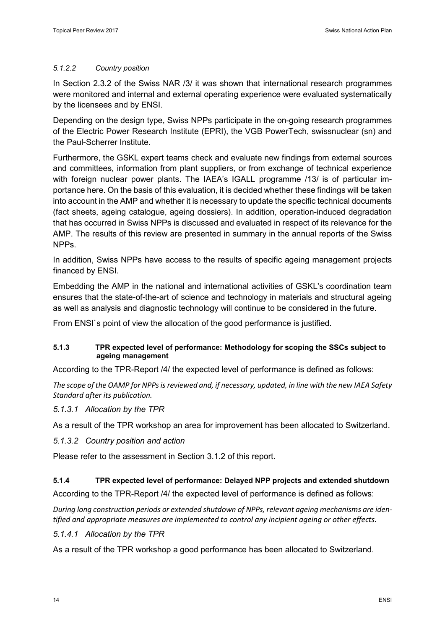#### *5.1.2.2 Country position*

In Section 2.3.2 of the Swiss NAR [/3/](#page-31-2) it was shown that international research programmes were monitored and internal and external operating experience were evaluated systematically by the licensees and by ENSI.

Depending on the design type, Swiss NPPs participate in the on-going research programmes of the Electric Power Research Institute (EPRI), the VGB PowerTech, swissnuclear (sn) and the Paul-Scherrer Institute.

Furthermore, the GSKL expert teams check and evaluate new findings from external sources and committees, information from plant suppliers, or from exchange of technical experience with foreign nuclear power plants. The IAEA's IGALL programme [/13/](#page-31-11) is of particular importance here. On the basis of this evaluation, it is decided whether these findings will be taken into account in the AMP and whether it is necessary to update the specific technical documents (fact sheets, ageing catalogue, ageing dossiers). In addition, operation-induced degradation that has occurred in Swiss NPPs is discussed and evaluated in respect of its relevance for the AMP. The results of this review are presented in summary in the annual reports of the Swiss NPPs.

In addition, Swiss NPPs have access to the results of specific ageing management projects financed by ENSI.

Embedding the AMP in the national and international activities of GSKL's coordination team ensures that the state-of-the-art of science and technology in materials and structural ageing as well as analysis and diagnostic technology will continue to be considered in the future.

From ENSI`s point of view the allocation of the good performance is justified.

#### **5.1.3 TPR expected level of performance: Methodology for scoping the SSCs subject to ageing management**

According to the TPR-Report /4/ the expected level of performance is defined as follows:

*The scope of the OAMP for NPPs is reviewed and, if necessary, updated, in line with the new IAEA Safety Standard after its publication.*

### *5.1.3.1 Allocation by the TPR*

As a result of the TPR workshop an area for improvement has been allocated to Switzerland.

*5.1.3.2 Country position and action*

Please refer to the assessment in Section [3.1.2](#page-11-0) of this report.

#### **5.1.4 TPR expected level of performance: Delayed NPP projects and extended shutdown**

According to the TPR-Report /4/ the expected level of performance is defined as follows:

*During long construction periods or extended shutdown of NPPs, relevant ageing mechanisms are identified and appropriate measures are implemented to control any incipient ageing or other effects.*

#### *5.1.4.1 Allocation by the TPR*

As a result of the TPR workshop a good performance has been allocated to Switzerland.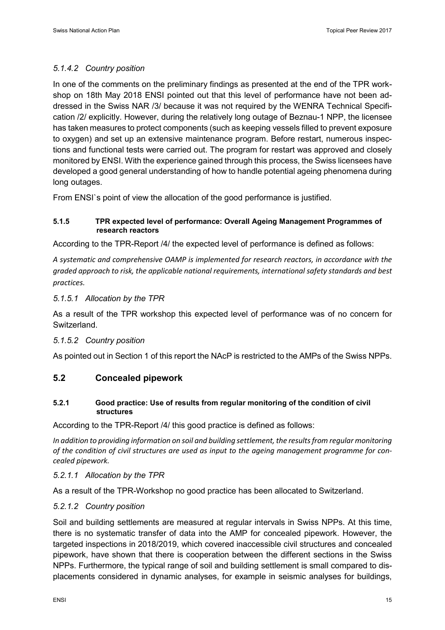### *5.1.4.2 Country position*

In one of the comments on the preliminary findings as presented at the end of the TPR workshop on 18th May 2018 ENSI pointed out that this level of performance have not been addressed in the Swiss NAR [/3/](#page-31-2) because it was not required by the WENRA Technical Specification [/2/](#page-31-1) explicitly. However, during the relatively long outage of Beznau-1 NPP, the licensee has taken measures to protect components (such as keeping vessels filled to prevent exposure to oxygen) and set up an extensive maintenance program. Before restart, numerous inspections and functional tests were carried out. The program for restart was approved and closely monitored by ENSI. With the experience gained through this process, the Swiss licensees have developed a good general understanding of how to handle potential ageing phenomena during long outages.

From ENSI`s point of view the allocation of the good performance is justified.

#### **5.1.5 TPR expected level of performance: Overall Ageing Management Programmes of research reactors**

According to the TPR-Report /4/ the expected level of performance is defined as follows:

*A systematic and comprehensive OAMP is implemented for research reactors, in accordance with the graded approach to risk, the applicable national requirements, international safety standards and best practices.*

#### *5.1.5.1 Allocation by the TPR*

As a result of the TPR workshop this expected level of performance was of no concern for Switzerland.

#### *5.1.5.2 Country position*

As pointed out in Section [1](#page-6-0) of this report the NAcP is restricted to the AMPs of the Swiss NPPs.

### **5.2 Concealed pipework**

#### **5.2.1 Good practice: Use of results from regular monitoring of the condition of civil structures**

According to the TPR-Report /4/ this good practice is defined as follows:

*In addition to providing information on soil and building settlement, the results from regular monitoring of the condition of civil structures are used as input to the ageing management programme for concealed pipework.*

#### *5.2.1.1 Allocation by the TPR*

As a result of the TPR-Workshop no good practice has been allocated to Switzerland.

#### *5.2.1.2 Country position*

Soil and building settlements are measured at regular intervals in Swiss NPPs. At this time, there is no systematic transfer of data into the AMP for concealed pipework. However, the targeted inspections in 2018/2019, which covered inaccessible civil structures and concealed pipework, have shown that there is cooperation between the different sections in the Swiss NPPs. Furthermore, the typical range of soil and building settlement is small compared to displacements considered in dynamic analyses, for example in seismic analyses for buildings,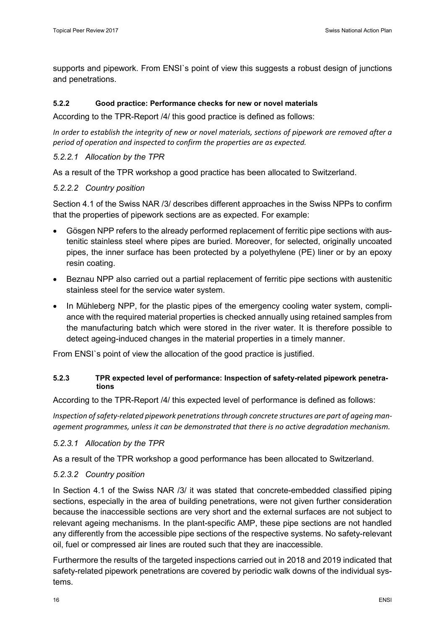supports and pipework. From ENSI`s point of view this suggests a robust design of junctions and penetrations.

#### **5.2.2 Good practice: Performance checks for new or novel materials**

According to the TPR-Report /4/ this good practice is defined as follows:

*In order to establish the integrity of new or novel materials, sections of pipework are removed after a period of operation and inspected to confirm the properties are as expected.*

#### *5.2.2.1 Allocation by the TPR*

As a result of the TPR workshop a good practice has been allocated to Switzerland.

#### *5.2.2.2 Country position*

Section 4.1 of the Swiss NAR /3/ describes different approaches in the Swiss NPPs to confirm that the properties of pipework sections are as expected. For example:

- Gösgen NPP refers to the already performed replacement of ferritic pipe sections with austenitic stainless steel where pipes are buried. Moreover, for selected, originally uncoated pipes, the inner surface has been protected by a polyethylene (PE) liner or by an epoxy resin coating.
- Beznau NPP also carried out a partial replacement of ferritic pipe sections with austenitic stainless steel for the service water system.
- In Mühleberg NPP, for the plastic pipes of the emergency cooling water system, compliance with the required material properties is checked annually using retained samples from the manufacturing batch which were stored in the river water. It is therefore possible to detect ageing-induced changes in the material properties in a timely manner.

From ENSI`s point of view the allocation of the good practice is justified.

#### **5.2.3 TPR expected level of performance: Inspection of safety-related pipework penetrations**

According to the TPR-Report /4/ this expected level of performance is defined as follows:

*Inspection of safety-related pipework penetrations through concrete structures are part of ageing management programmes, unless it can be demonstrated that there is no active degradation mechanism.*

#### *5.2.3.1 Allocation by the TPR*

As a result of the TPR workshop a good performance has been allocated to Switzerland.

### *5.2.3.2 Country position*

In Section 4.1 of the Swiss NAR /3/ it was stated that concrete-embedded classified piping sections, especially in the area of building penetrations, were not given further consideration because the inaccessible sections are very short and the external surfaces are not subject to relevant ageing mechanisms. In the plant-specific AMP, these pipe sections are not handled any differently from the accessible pipe sections of the respective systems. No safety-relevant oil, fuel or compressed air lines are routed such that they are inaccessible.

Furthermore the results of the targeted inspections carried out in 2018 and 2019 indicated that safety-related pipework penetrations are covered by periodic walk downs of the individual systems.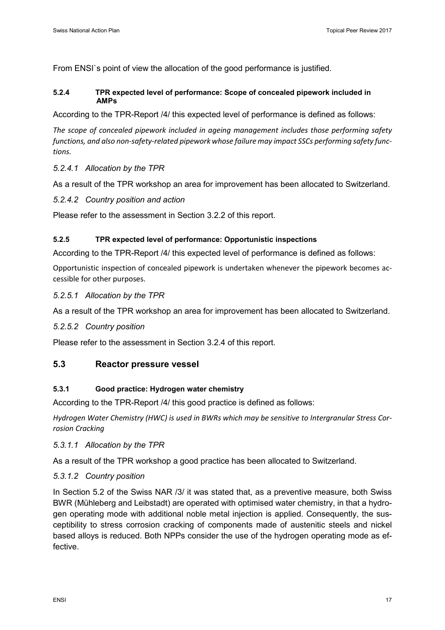From ENSI`s point of view the allocation of the good performance is justified.

#### **5.2.4 TPR expected level of performance: Scope of concealed pipework included in AMPs**

According to the TPR-Report /4/ this expected level of performance is defined as follows:

*The scope of concealed pipework included in ageing management includes those performing safety functions, and also non-safety-related pipework whose failure may impact SSCs performing safety functions.* 

### *5.2.4.1 Allocation by the TPR*

As a result of the TPR workshop an area for improvement has been allocated to Switzerland.

*5.2.4.2 Country position and action* 

Please refer to the assessment in Section [3.2.2](#page-11-1) of this report.

### **5.2.5 TPR expected level of performance: Opportunistic inspections**

According to the TPR-Report /4/ this expected level of performance is defined as follows:

Opportunistic inspection of concealed pipework is undertaken whenever the pipework becomes accessible for other purposes.

### *5.2.5.1 Allocation by the TPR*

As a result of the TPR workshop an area for improvement has been allocated to Switzerland.

*5.2.5.2 Country position*

Please refer to the assessment in Section [3.2.4](#page-12-0) of this report.

### **5.3 Reactor pressure vessel**

### **5.3.1 Good practice: Hydrogen water chemistry**

According to the TPR-Report /4/ this good practice is defined as follows:

*Hydrogen Water Chemistry (HWC) is used in BWRs which may be sensitive to Intergranular Stress Corrosion Cracking*

### *5.3.1.1 Allocation by the TPR*

As a result of the TPR workshop a good practice has been allocated to Switzerland.

### *5.3.1.2 Country position*

In Section 5.2 of the Swiss NAR /3/ it was stated that, as a preventive measure, both Swiss BWR (Mühleberg and Leibstadt) are operated with optimised water chemistry, in that a hydrogen operating mode with additional noble metal injection is applied. Consequently, the susceptibility to stress corrosion cracking of components made of austenitic steels and nickel based alloys is reduced. Both NPPs consider the use of the hydrogen operating mode as effective.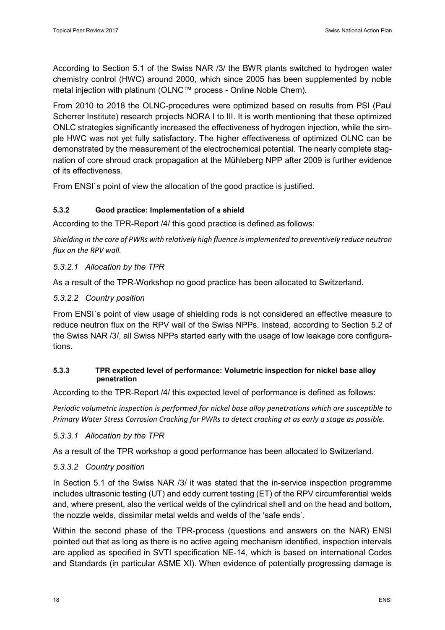According to Section 5.1 of the Swiss NAR [/3/](#page-31-2) the BWR plants switched to hydrogen water chemistry control (HWC) around 2000, which since 2005 has been supplemented by noble metal injection with platinum (OLNC™ process - Online Noble Chem).

From 2010 to 2018 the OLNC-procedures were optimized based on results from PSI (Paul Scherrer Institute) research projects NORA I to III. It is worth mentioning that these optimized ONLC strategies significantly increased the effectiveness of hydrogen injection, while the simple HWC was not yet fully satisfactory. The higher effectiveness of optimized OLNC can be demonstrated by the measurement of the electrochemical potential. The nearly complete stagnation of core shroud crack propagation at the Mühleberg NPP after 2009 is further evidence of its effectiveness.

From ENSI`s point of view the allocation of the good practice is justified.

#### **5.3.2 Good practice: Implementation of a shield**

According to the TPR-Report /4/ this good practice is defined as follows:

*Shielding in the core of PWRs with relatively high fluence is implemented to preventively reduce neutron flux on the RPV wall.*

#### *5.3.2.1 Allocation by the TPR*

As a result of the TPR-Workshop no good practice has been allocated to Switzerland.

#### *5.3.2.2 Country position*

From ENSI`s point of view usage of shielding rods is not considered an effective measure to reduce neutron flux on the RPV wall of the Swiss NPPs. Instead, according to Section 5.2 of the Swiss NAR /3/, all Swiss NPPs started early with the usage of low leakage core configurations.

#### **5.3.3 TPR expected level of performance: Volumetric inspection for nickel base alloy penetration**

According to the TPR-Report /4/ this expected level of performance is defined as follows:

*Periodic volumetric inspection is performed for nickel base alloy penetrations which are susceptible to Primary Water Stress Corrosion Cracking for PWRs to detect cracking at as early a stage as possible.*

#### *5.3.3.1 Allocation by the TPR*

As a result of the TPR workshop a good performance has been allocated to Switzerland.

#### *5.3.3.2 Country position*

In Section 5.1 of the Swiss NAR /3/ it was stated that the in-service inspection programme includes ultrasonic testing (UT) and eddy current testing (ET) of the RPV circumferential welds and, where present, also the vertical welds of the cylindrical shell and on the head and bottom, the nozzle welds, dissimilar metal welds and welds of the 'safe ends'.

Within the second phase of the TPR-process (questions and answers on the NAR) ENSI pointed out that as long as there is no active ageing mechanism identified, inspection intervals are applied as specified in SVTI specification NE-14, which is based on international Codes and Standards (in particular ASME XI). When evidence of potentially progressing damage is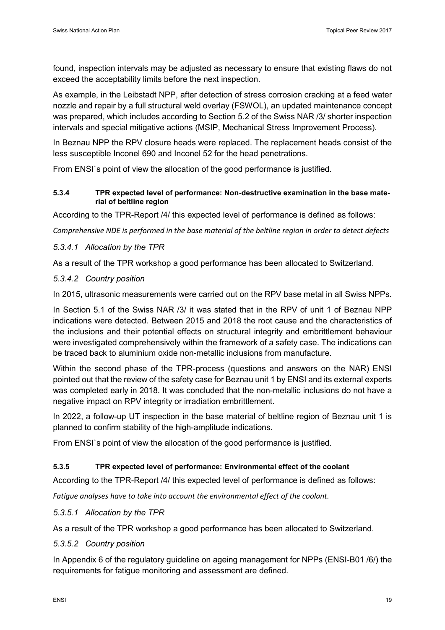found, inspection intervals may be adjusted as necessary to ensure that existing flaws do not exceed the acceptability limits before the next inspection.

As example, in the Leibstadt NPP, after detection of stress corrosion cracking at a feed water nozzle and repair by a full structural weld overlay (FSWOL), an updated maintenance concept was prepared, which includes according to Section 5.2 of the Swiss NAR /3/ shorter inspection intervals and special mitigative actions (MSIP, Mechanical Stress Improvement Process).

In Beznau NPP the RPV closure heads were replaced. The replacement heads consist of the less susceptible Inconel 690 and Inconel 52 for the head penetrations.

From ENSI`s point of view the allocation of the good performance is justified.

#### **5.3.4 TPR expected level of performance: Non-destructive examination in the base material of beltline region**

According to the TPR-Report /4/ this expected level of performance is defined as follows:

*Comprehensive NDE is performed in the base material of the beltline region in order to detect defects* 

#### *5.3.4.1 Allocation by the TPR*

As a result of the TPR workshop a good performance has been allocated to Switzerland.

#### *5.3.4.2 Country position*

In 2015, ultrasonic measurements were carried out on the RPV base metal in all Swiss NPPs.

In Section 5.1 of the Swiss NAR /3/ it was stated that in the RPV of unit 1 of Beznau NPP indications were detected. Between 2015 and 2018 the root cause and the characteristics of the inclusions and their potential effects on structural integrity and embrittlement behaviour were investigated comprehensively within the framework of a safety case. The indications can be traced back to aluminium oxide non-metallic inclusions from manufacture.

Within the second phase of the TPR-process (questions and answers on the NAR) ENSI pointed out that the review of the safety case for Beznau unit 1 by ENSI and its external experts was completed early in 2018. It was concluded that the non-metallic inclusions do not have a negative impact on RPV integrity or irradiation embrittlement.

In 2022, a follow-up UT inspection in the base material of beltline region of Beznau unit 1 is planned to confirm stability of the high-amplitude indications.

From ENSI`s point of view the allocation of the good performance is justified.

#### **5.3.5 TPR expected level of performance: Environmental effect of the coolant**

According to the TPR-Report /4/ this expected level of performance is defined as follows:

*Fatigue analyses have to take into account the environmental effect of the coolant.*

#### *5.3.5.1 Allocation by the TPR*

As a result of the TPR workshop a good performance has been allocated to Switzerland.

#### *5.3.5.2 Country position*

In Appendix 6 of the regulatory guideline on ageing management for NPPs (ENSI-B01 [/6/\)](#page-31-6) the requirements for fatigue monitoring and assessment are defined.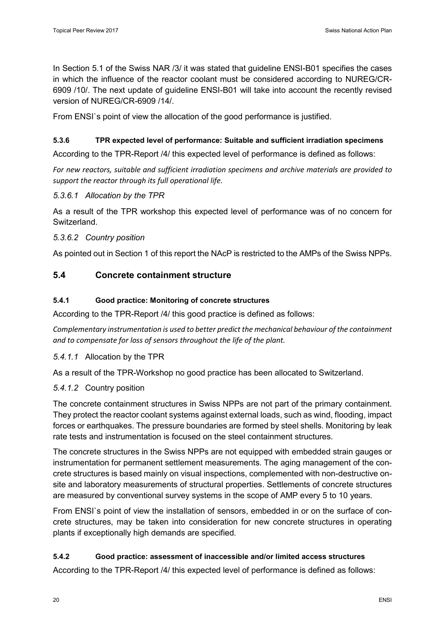In Section 5.1 of the Swiss NAR /3/ it was stated that guideline ENSI-B01 specifies the cases in which the influence of the reactor coolant must be considered according to NUREG/CR-6909 [/10/.](#page-31-12) The next update of guideline ENSI-B01 will take into account the recently revised version of NUREG/CR-6909 [/14/.](#page-31-13)

From ENSI`s point of view the allocation of the good performance is justified.

#### **5.3.6 TPR expected level of performance: Suitable and sufficient irradiation specimens**

According to the TPR-Report /4/ this expected level of performance is defined as follows:

*For new reactors, suitable and sufficient irradiation specimens and archive materials are provided to support the reactor through its full operational life.*

#### *5.3.6.1 Allocation by the TPR*

As a result of the TPR workshop this expected level of performance was of no concern for Switzerland.

#### *5.3.6.2 Country position*

As pointed out in Section [1](#page-6-0) of this report the NAcP is restricted to the AMPs of the Swiss NPPs.

### **5.4 Concrete containment structure**

#### **5.4.1 Good practice: Monitoring of concrete structures**

According to the TPR-Report /4/ this good practice is defined as follows:

*Complementary instrumentation is used to better predict the mechanical behaviour of the containment and to compensate for loss of sensors throughout the life of the plant.* 

#### *5.4.1.1* Allocation by the TPR

As a result of the TPR-Workshop no good practice has been allocated to Switzerland.

### *5.4.1.2* Country position

The concrete containment structures in Swiss NPPs are not part of the primary containment. They protect the reactor coolant systems against external loads, such as wind, flooding, impact forces or earthquakes. The pressure boundaries are formed by steel shells. Monitoring by leak rate tests and instrumentation is focused on the steel containment structures.

The concrete structures in the Swiss NPPs are not equipped with embedded strain gauges or instrumentation for permanent settlement measurements. The aging management of the concrete structures is based mainly on visual inspections, complemented with non-destructive onsite and laboratory measurements of structural properties. Settlements of concrete structures are measured by conventional survey systems in the scope of AMP every 5 to 10 years.

From ENSI`s point of view the installation of sensors, embedded in or on the surface of concrete structures, may be taken into consideration for new concrete structures in operating plants if exceptionally high demands are specified.

#### **5.4.2 Good practice: assessment of inaccessible and/or limited access structures**

According to the TPR-Report /4/ this expected level of performance is defined as follows: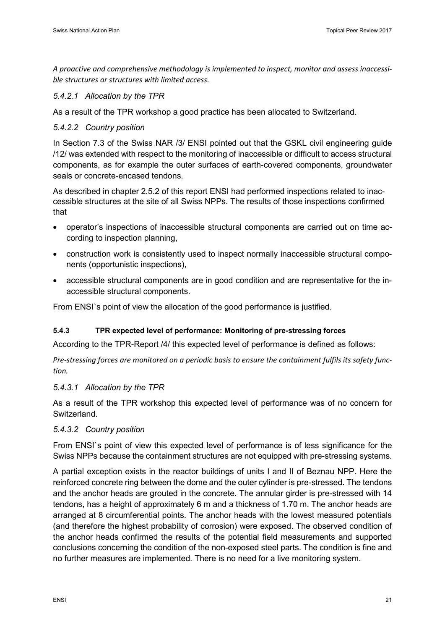*A proactive and comprehensive methodology is implemented to inspect, monitor and assess inaccessible structures or structures with limited access.*

#### *5.4.2.1 Allocation by the TPR*

As a result of the TPR workshop a good practice has been allocated to Switzerland.

### *5.4.2.2 Country position*

In Section 7.3 of the Swiss NAR /3/ ENSI pointed out that the GSKL civil engineering guide [/12/](#page-31-7) was extended with respect to the monitoring of inaccessible or difficult to access structural components, as for example the outer surfaces of earth-covered components, groundwater seals or concrete-encased tendons.

As described in chapter [2.5.2](#page-10-0) of this report ENSI had performed inspections related to inaccessible structures at the site of all Swiss NPPs. The results of those inspections confirmed that

- operator's inspections of inaccessible structural components are carried out on time according to inspection planning,
- construction work is consistently used to inspect normally inaccessible structural components (opportunistic inspections),
- accessible structural components are in good condition and are representative for the inaccessible structural components.

From ENSI`s point of view the allocation of the good performance is justified.

### **5.4.3 TPR expected level of performance: Monitoring of pre-stressing forces**

According to the TPR-Report /4/ this expected level of performance is defined as follows:

*Pre-stressing forces are monitored on a periodic basis to ensure the containment fulfils its safety function.*

### *5.4.3.1 Allocation by the TPR*

As a result of the TPR workshop this expected level of performance was of no concern for Switzerland.

#### *5.4.3.2 Country position*

From ENSI`s point of view this expected level of performance is of less significance for the Swiss NPPs because the containment structures are not equipped with pre-stressing systems.

A partial exception exists in the reactor buildings of units I and II of Beznau NPP. Here the reinforced concrete ring between the dome and the outer cylinder is pre-stressed. The tendons and the anchor heads are grouted in the concrete. The annular girder is pre-stressed with 14 tendons, has a height of approximately 6 m and a thickness of 1.70 m. The anchor heads are arranged at 8 circumferential points. The anchor heads with the lowest measured potentials (and therefore the highest probability of corrosion) were exposed. The observed condition of the anchor heads confirmed the results of the potential field measurements and supported conclusions concerning the condition of the non-exposed steel parts. The condition is fine and no further measures are implemented. There is no need for a live monitoring system.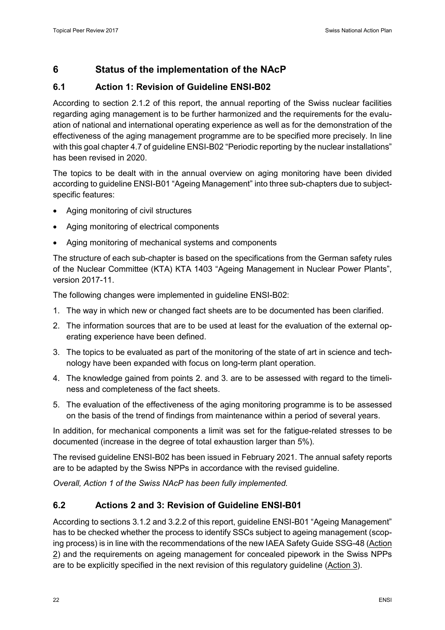### **6 Status of the implementation of the NAcP**

### **6.1 Action 1: Revision of Guideline ENSI-B02**

According to section 2.1.2 of this report, the annual reporting of the Swiss nuclear facilities regarding aging management is to be further harmonized and the requirements for the evaluation of national and international operating experience as well as for the demonstration of the effectiveness of the aging management programme are to be specified more precisely. In line with this goal chapter 4.7 of guideline ENSI-B02 "Periodic reporting by the nuclear installations" has been revised in 2020.

The topics to be dealt with in the annual overview on aging monitoring have been divided according to guideline ENSI-B01 "Ageing Management" into three sub-chapters due to subjectspecific features:

- Aging monitoring of civil structures
- Aging monitoring of electrical components
- Aging monitoring of mechanical systems and components

The structure of each sub-chapter is based on the specifications from the German safety rules of the Nuclear Committee (KTA) KTA 1403 "Ageing Management in Nuclear Power Plants", version 2017-11.

The following changes were implemented in guideline ENSI-B02:

- 1. The way in which new or changed fact sheets are to be documented has been clarified.
- 2. The information sources that are to be used at least for the evaluation of the external operating experience have been defined.
- 3. The topics to be evaluated as part of the monitoring of the state of art in science and technology have been expanded with focus on long-term plant operation.
- 4. The knowledge gained from points 2. and 3. are to be assessed with regard to the timeliness and completeness of the fact sheets.
- 5. The evaluation of the effectiveness of the aging monitoring programme is to be assessed on the basis of the trend of findings from maintenance within a period of several years.

In addition, for mechanical components a limit was set for the fatigue-related stresses to be documented (increase in the degree of total exhaustion larger than 5%).

The revised guideline ENSI-B02 has been issued in February 2021. The annual safety reports are to be adapted by the Swiss NPPs in accordance with the revised guideline.

*Overall, Action 1 of the Swiss NAcP has been fully implemented.* 

### **6.2 Actions 2 and 3: Revision of Guideline ENSI-B01**

According to sections 3.1.2 and 3.2.2 of this report, guideline ENSI-B01 "Ageing Management" has to be checked whether the process to identify SSCs subject to ageing management (scoping process) is in line with the recommendations of the new IAEA Safety Guide SSG-48 (Action 2) and the requirements on ageing management for concealed pipework in the Swiss NPPs are to be explicitly specified in the next revision of this regulatory guideline (Action 3).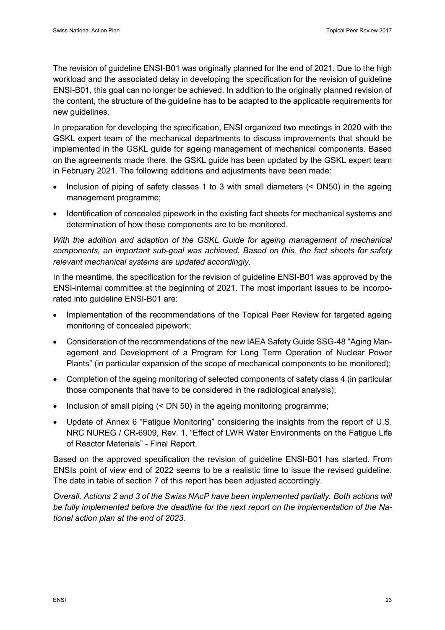The revision of guideline ENSI-B01 was originally planned for the end of 2021. Due to the high workload and the associated delay in developing the specification for the revision of guideline ENSI-B01, this goal can no longer be achieved. In addition to the originally planned revision of the content, the structure of the guideline has to be adapted to the applicable requirements for new guidelines.

In preparation for developing the specification, ENSI organized two meetings in 2020 with the GSKL expert team of the mechanical departments to discuss improvements that should be implemented in the GSKL guide for ageing management of mechanical components. Based on the agreements made there, the GSKL guide has been updated by the GSKL expert team in February 2021. The following additions and adjustments have been made:

- Inclusion of piping of safety classes 1 to 3 with small diameters (< DN50) in the ageing management programme;
- Identification of concealed pipework in the existing fact sheets for mechanical systems and determination of how these components are to be monitored.

*With the addition and adaption of the GSKL Guide for ageing management of mechanical components, an important sub-goal was achieved. Based on this, the fact sheets for safety relevant mechanical systems are updated accordingly.*

In the meantime, the specification for the revision of guideline ENSI-B01 was approved by the ENSI-internal committee at the beginning of 2021. The most important issues to be incorporated into guideline ENSI-B01 are:

- Implementation of the recommendations of the Topical Peer Review for targeted ageing monitoring of concealed pipework;
- Consideration of the recommendations of the new IAEA Safety Guide SSG-48 "Aging Management and Development of a Program for Long Term Operation of Nuclear Power Plants" (in particular expansion of the scope of mechanical components to be monitored);
- Completion of the ageing monitoring of selected components of safety class 4 (in particular those components that have to be considered in the radiological analysis);
- Inclusion of small piping (< DN 50) in the ageing monitoring programme;
- Update of Annex 6 "Fatigue Monitoring" considering the insights from the report of U.S. NRC NUREG / CR-6909, Rev. 1, "Effect of LWR Water Environments on the Fatigue Life of Reactor Materials" - Final Report.

Based on the approved specification the revision of guideline ENSI-B01 has started. From ENSIs point of view end of 2022 seems to be a realistic time to issue the revised guideline. The date in table of section 7 of this report has been adjusted accordingly.

*Overall, Actions 2 and 3 of the Swiss NAcP have been implemented partially. Both actions will be fully implemented before the deadline for the next report on the implementation of the National action plan at the end of 2023.*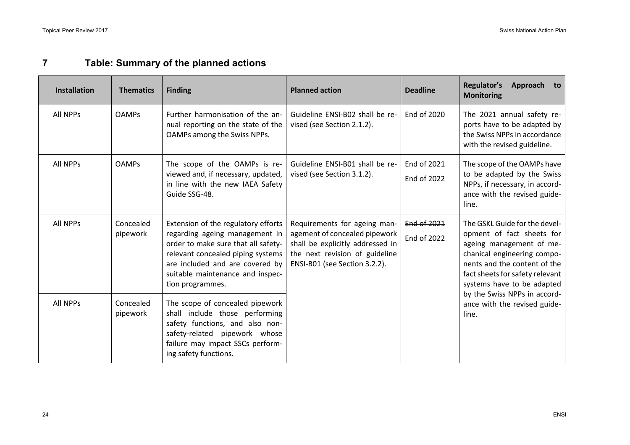## **7 Table: Summary of the planned actions**

| <b>Installation</b> | <b>Thematics</b>      | <b>Finding</b>                                                                                                                                                                                                                               | <b>Planned action</b>                                                                                                                                                | <b>Deadline</b>                   | Regulator's<br>Approach<br>to<br><b>Monitoring</b>                                                                                                                                                                                                                                              |
|---------------------|-----------------------|----------------------------------------------------------------------------------------------------------------------------------------------------------------------------------------------------------------------------------------------|----------------------------------------------------------------------------------------------------------------------------------------------------------------------|-----------------------------------|-------------------------------------------------------------------------------------------------------------------------------------------------------------------------------------------------------------------------------------------------------------------------------------------------|
| <b>All NPPs</b>     | <b>OAMPs</b>          | Further harmonisation of the an-<br>nual reporting on the state of the<br>OAMPs among the Swiss NPPs.                                                                                                                                        | Guideline ENSI-B02 shall be re-<br>vised (see Section 2.1.2).                                                                                                        | End of 2020                       | The 2021 annual safety re-<br>ports have to be adapted by<br>the Swiss NPPs in accordance<br>with the revised guideline.                                                                                                                                                                        |
| <b>All NPPs</b>     | <b>OAMPs</b>          | The scope of the OAMPs is re-<br>viewed and, if necessary, updated,<br>in line with the new IAEA Safety<br>Guide SSG-48.                                                                                                                     | Guideline ENSI-B01 shall be re-<br>vised (see Section 3.1.2).                                                                                                        | End of 2021<br>End of 2022        | The scope of the OAMPs have<br>to be adapted by the Swiss<br>NPPs, if necessary, in accord-<br>ance with the revised guide-<br>line.                                                                                                                                                            |
| All NPPs            | Concealed<br>pipework | Extension of the regulatory efforts<br>regarding ageing management in<br>order to make sure that all safety-<br>relevant concealed piping systems<br>are included and are covered by<br>suitable maintenance and inspec-<br>tion programmes. | Requirements for ageing man-<br>agement of concealed pipework<br>shall be explicitly addressed in<br>the next revision of guideline<br>ENSI-B01 (see Section 3.2.2). | End of 2021<br><b>End of 2022</b> | The GSKL Guide for the devel-<br>opment of fact sheets for<br>ageing management of me-<br>chanical engineering compo-<br>nents and the content of the<br>fact sheets for safety relevant<br>systems have to be adapted<br>by the Swiss NPPs in accord-<br>ance with the revised guide-<br>line. |
| All NPPs            | Concealed<br>pipework | The scope of concealed pipework<br>shall include those performing<br>safety functions, and also non-<br>safety-related pipework whose<br>failure may impact SSCs perform-<br>ing safety functions.                                           |                                                                                                                                                                      |                                   |                                                                                                                                                                                                                                                                                                 |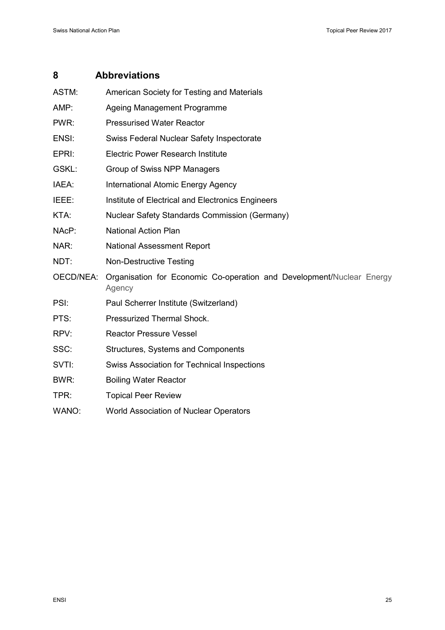### **8 Abbreviations**

- ASTM: American Society for Testing and Materials
- AMP: Ageing Management Programme
- PWR: Pressurised Water Reactor
- ENSI: Swiss Federal Nuclear Safety Inspectorate
- EPRI: Electric Power Research Institute
- GSKL: Group of Swiss NPP Managers
- IAEA: International Atomic Energy Agency
- IEEE: Institute of Electrical and Electronics Engineers
- KTA: Nuclear Safety Standards Commission (Germany)
- NAcP: National Action Plan
- NAR: National Assessment Report
- NDT: Non-Destructive Testing
- OECD/NEA: Organisation for Economic Co-operation and Development/Nuclear Energy Agency
- PSI: Paul Scherrer Institute (Switzerland)
- PTS: Pressurized Thermal Shock.
- RPV: Reactor Pressure Vessel
- SSC: Structures, Systems and Components
- SVTI: Swiss Association for Technical Inspections
- BWR: Boiling Water Reactor
- TPR: Topical Peer Review
- WANO: World Association of Nuclear Operators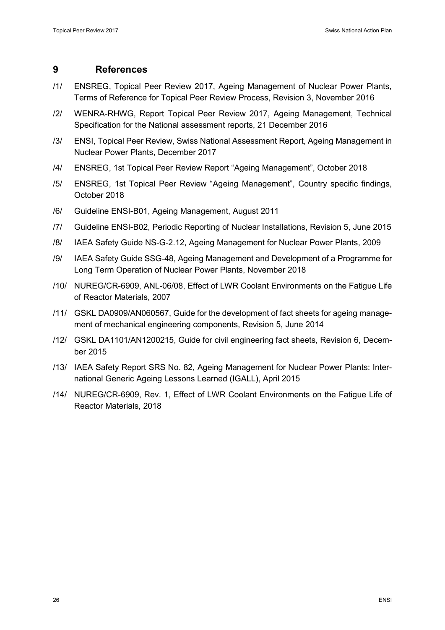#### **9 References**

- <span id="page-31-0"></span>/1/ ENSREG, Topical Peer Review 2017, Ageing Management of Nuclear Power Plants, Terms of Reference for Topical Peer Review Process, Revision 3, November 2016
- <span id="page-31-1"></span>/2/ WENRA-RHWG, Report Topical Peer Review 2017, Ageing Management, Technical Specification for the National assessment reports, 21 December 2016
- <span id="page-31-2"></span>/3/ ENSI, Topical Peer Review, Swiss National Assessment Report, Ageing Management in Nuclear Power Plants, December 2017
- <span id="page-31-3"></span>/4/ ENSREG, 1st Topical Peer Review Report "Ageing Management", October 2018
- <span id="page-31-4"></span>/5/ ENSREG, 1st Topical Peer Review "Ageing Management", Country specific findings, October 2018
- <span id="page-31-6"></span>/6/ Guideline ENSI-B01, Ageing Management, August 2011
- <span id="page-31-5"></span>/7/ Guideline ENSI-B02, Periodic Reporting of Nuclear Installations, Revision 5, June 2015
- <span id="page-31-8"></span>/8/ IAEA Safety Guide NS-G-2.12, Ageing Management for Nuclear Power Plants, 2009
- <span id="page-31-9"></span>/9/ IAEA Safety Guide SSG-48, Ageing Management and Development of a Programme for Long Term Operation of Nuclear Power Plants, November 2018
- <span id="page-31-12"></span>/10/ NUREG/CR-6909, ANL-06/08, Effect of LWR Coolant Environments on the Fatigue Life of Reactor Materials, 2007
- <span id="page-31-10"></span>/11/ GSKL DA0909/AN060567, Guide for the development of fact sheets for ageing management of mechanical engineering components, Revision 5, June 2014
- <span id="page-31-7"></span>/12/ GSKL DA1101/AN1200215, Guide for civil engineering fact sheets, Revision 6, December 2015
- <span id="page-31-11"></span>/13/ IAEA Safety Report SRS No. 82, Ageing Management for Nuclear Power Plants: International Generic Ageing Lessons Learned (IGALL), April 2015
- <span id="page-31-13"></span>/14/ NUREG/CR-6909, Rev. 1, Effect of LWR Coolant Environments on the Fatigue Life of Reactor Materials, 2018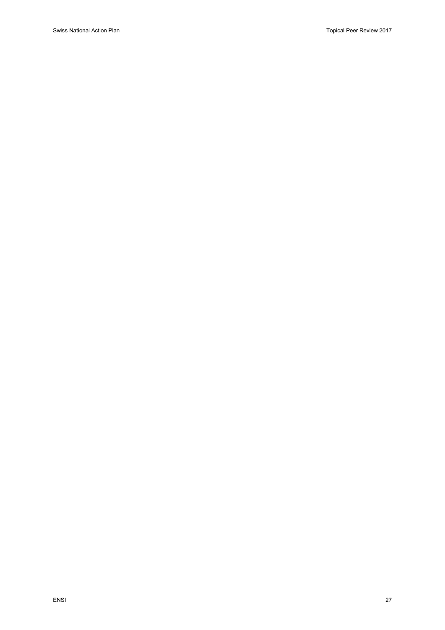#### ENSI 27